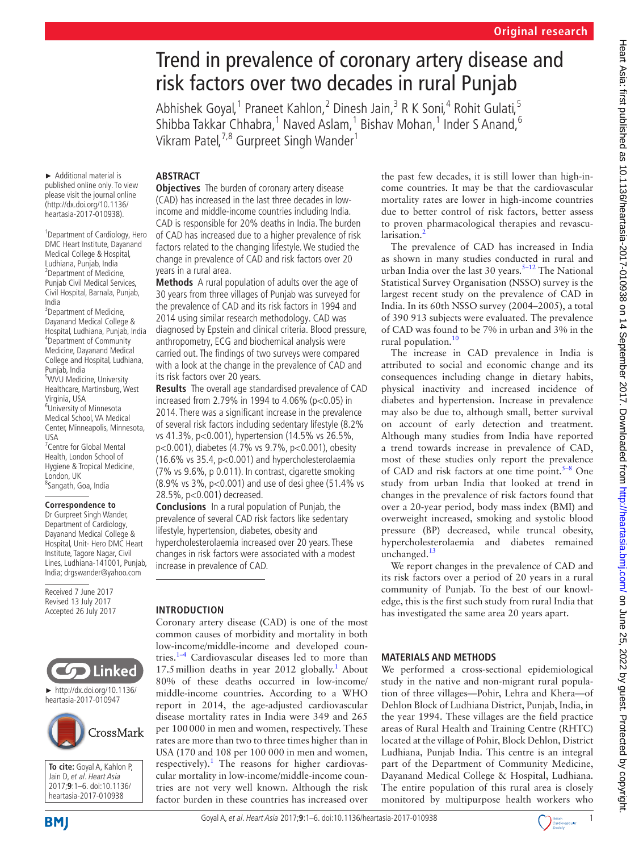# Trend in prevalence of coronary artery disease and risk factors over two decades in rural Punjab

Abhishek Goyal,<sup>1</sup> Praneet Kahlon,<sup>2</sup> Dinesh Jain,<sup>3</sup> R K Soni,<sup>4</sup> Rohit Gulati,<sup>5</sup> Shibba Takkar Chhabra,<sup>1</sup> Naved Aslam,<sup>1</sup> Bishav Mohan,<sup>1</sup> Inder S Anand,<sup>6</sup> Vikram Patel,<sup>7,8</sup> Gurpreet Singh Wander<sup>1</sup>

► Additional material is

published online only. To view please visit the journal online (http://dx.doi.org/10.1136/ heartasia-2017-010938).

1 Department of Cardiology, Hero DMC Heart Institute, Dayanand Medical College & Hospital, Ludhiana, Punjab, India 2 Department of Medicine, Punjab Civil Medical Services, Civil Hospital, Barnala, Punjab, India <sup>3</sup>Department of Medicine, Dayanand Medical College & Hospital, Ludhiana, Punjab, India 4 Department of Community Medicine, Dayanand Medical College and Hospital, Ludhiana, Punjab, India <sup>5</sup>WVU Medicine, University Healthcare, Martinsburg, West Virginia, USA 6 University of Minnesota Medical School, VA Medical Center, Minneapolis, Minnesota, USA <sup>7</sup> Centre for Global Mental Health, London School of Hygiene & Tropical Medicine,

## London, UK 8 Sangath, Goa, India

#### **Correspondence to**

Dr Gurpreet Singh Wander, Department of Cardiology, Dayanand Medical College & Hospital, Unit- Hero DMC Heart Institute, Tagore Nagar, Civil Lines, Ludhiana-141001, Punjab, India; drgswander@yahoo.com

Received 7 June 2017 Revised 13 July 2017 Accepted 26 July 2017



► [http://dx.doi.org/10.1136/](http://dx.doi.org/10.1136/heartasia-2017-010947) [heartasia-2017-010947](http://dx.doi.org/10.1136/heartasia-2017-010947)



**To cite:** Goyal A, Kahlon P, Jain D, et al. Heart Asia 2017;**9**:1–6. doi:10.1136/ heartasia-2017-010938

## **ABSTRACT**

**Objectives** The burden of coronary artery disease (CAD) has increased in the last three decades in lowincome and middle-income countries including India. CAD is responsible for 20% deaths in India. The burden of CAD has increased due to a higher prevalence of risk factors related to the changing lifestyle. We studied the change in prevalence of CAD and risk factors over 20 years in a rural area.

**Methods** A rural population of adults over the age of 30 years from three villages of Punjab was surveyed for the prevalence of CAD and its risk factors in 1994 and 2014 using similar research methodology. CAD was diagnosed by Epstein and clinical criteria. Blood pressure, anthropometry, ECG and biochemical analysis were carried out. The findings of two surveys were compared with a look at the change in the prevalence of CAD and its risk factors over 20 years.

**Results** The overall age standardised prevalence of CAD increased from 2.79% in 1994 to 4.06% (p<0.05) in 2014. There was a significant increase in the prevalence of several risk factors including sedentary lifestyle (8.2% vs 41.3%, p<0.001), hypertension (14.5% vs 26.5%, p<0.001), diabetes (4.7% vs 9.7%, p<0.001), obesity (16.6% vs 35.4, p<0.001) and hypercholesterolaemia (7% vs 9.6%, p 0.011). In contrast, cigarette smoking (8.9% vs 3%, p<0.001) and use of desi ghee (51.4% vs 28.5%, p<0.001) decreased.

**Conclusions** In a rural population of Punjab, the prevalence of several CAD risk factors like sedentary lifestyle, hypertension, diabetes, obesity and hypercholesterolaemia increased over 20 years. These changes in risk factors were associated with a modest increase in prevalence of CAD.

#### **Introduction**

Coronary artery disease (CAD) is one of the most common causes of morbidity and mortality in both low-income/middle-income and developed countries.<sup>1–4</sup> Cardiovascular diseases led to more than [1](#page-5-0)7.5 million deaths in year 2012 globally.<sup>1</sup> About 80% of these deaths occurred in low-income/ middle-income countries. According to a WHO report in 2014, the age-adjusted cardiovascular disease mortality rates in India were 349 and 265 per 100000 in men and women, respectively. These rates are more than two to three times higher than in USA (170 and 108 per 100 000 in men and women, respectively).<sup>[1](#page-5-0)</sup> The reasons for higher cardiovascular mortality in low-income/middle-income countries are not very well known. Although the risk factor burden in these countries has increased over

the past few decades, it is still lower than high-income countries. It may be that the cardiovascular mortality rates are lower in high-income countries due to better control of risk factors, better assess to proven pharmacological therapies and revascu-larisation.<sup>[2](#page-5-1)</sup>

The prevalence of CAD has increased in India as shown in many studies conducted in rural and urban India over the last 30 years. $5-12$  The National Statistical Survey Organisation (NSSO) survey is the largest recent study on the prevalence of CAD in India. In its 60th NSSO survey (2004–2005), a total of 390 913 subjects were evaluated. The prevalence of CAD was found to be 7% in urban and 3% in the rural population.<sup>10</sup>

The increase in CAD prevalence in India is attributed to social and economic change and its consequences including change in dietary habits, physical inactivity and increased incidence of diabetes and hypertension. Increase in prevalence may also be due to, although small, better survival on account of early detection and treatment. Although many studies from India have reported a trend towards increase in prevalence of CAD, most of these studies only report the prevalence of CAD and risk factors at one time point. $5-8$  One study from urban India that looked at trend in changes in the prevalence of risk factors found that over a 20-year period, body mass index (BMI) and overweight increased, smoking and systolic blood pressure (BP) decreased, while truncal obesity, hypercholesterolaemia and diabetes remained unchanged.<sup>[13](#page-5-4)</sup>

We report changes in the prevalence of CAD and its risk factors over a period of 20 years in a rural community of Punjab. To the best of our knowledge, this is the first such study from rural India that has investigated the same area 20 years apart.

## **Materials and methods**

We performed a cross-sectional epidemiological study in the native and non-migrant rural population of three villages—Pohir, Lehra and Khera—of Dehlon Block of Ludhiana District, Punjab, India, in the year 1994. These villages are the field practice areas of Rural Health and Training Centre (RHTC) located at the village of Pohir, Block Dehlon, District Ludhiana, Punjab India. This centre is an integral part of the Department of Community Medicine, Dayanand Medical College & Hospital, Ludhiana. The entire population of this rural area is closely monitored by multipurpose health workers who

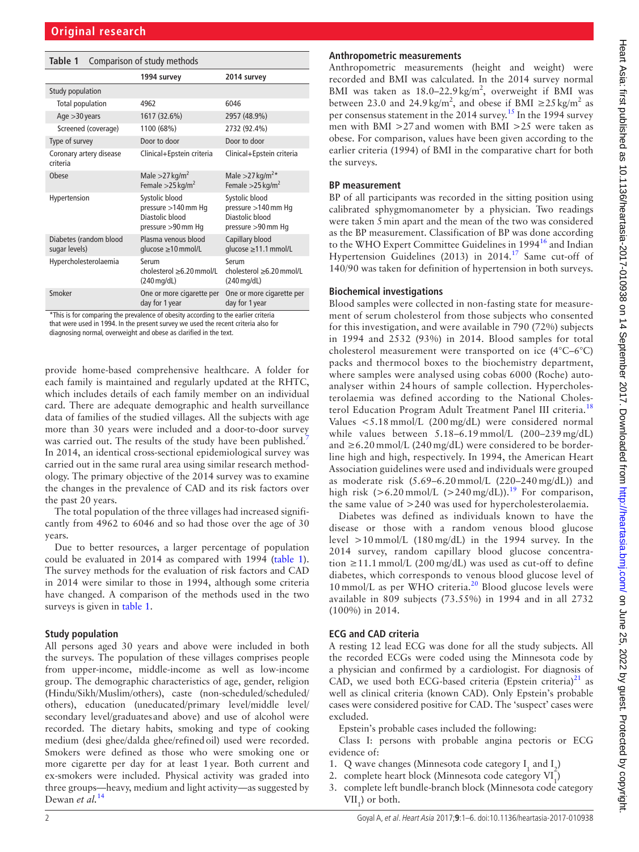<span id="page-1-0"></span>

| Table 1<br>Comparison of study methods                                                       |                                                                                |                                                                                |  |  |  |  |
|----------------------------------------------------------------------------------------------|--------------------------------------------------------------------------------|--------------------------------------------------------------------------------|--|--|--|--|
|                                                                                              | 1994 survey                                                                    | 2014 survey                                                                    |  |  |  |  |
| Study population                                                                             |                                                                                |                                                                                |  |  |  |  |
| Total population                                                                             | 4962                                                                           | 6046                                                                           |  |  |  |  |
| Age $>30$ years                                                                              | 1617 (32.6%)                                                                   | 2957 (48.9%)                                                                   |  |  |  |  |
| Screened (coverage)                                                                          | 1100 (68%)                                                                     | 2732 (92.4%)                                                                   |  |  |  |  |
| Type of survey                                                                               | Door to door                                                                   | Door to door                                                                   |  |  |  |  |
| Coronary artery disease<br>criteria                                                          | Clinical+Epstein criteria                                                      | Clinical+Epstein criteria                                                      |  |  |  |  |
| Obese                                                                                        | Male $>27$ kg/m <sup>2</sup><br>Female $>$ 25 kg/m <sup>2</sup>                | Male > 27 kg/m <sup>2*</sup><br>Female $>25$ kg/m <sup>2</sup>                 |  |  |  |  |
| Hypertension                                                                                 | Systolic blood<br>pressure >140 mm Hq<br>Diastolic blood<br>pressure >90 mm Hq | Systolic blood<br>pressure >140 mm Hq<br>Diastolic blood<br>pressure >90 mm Hg |  |  |  |  |
| Diabetes (random blood<br>sugar levels)                                                      | Plasma venous blood<br>glucose ≥10 mmol/L                                      | Capillary blood<br>glucose ≥11.1 mmol/L                                        |  |  |  |  |
| Hypercholesterolaemia                                                                        | Serum<br>cholesterol >6.20 mmol/L<br>(240 mg/dL)                               | Serum<br>cholesterol >6.20 mmol/L<br>$(240 \,\text{mg/dL})$                    |  |  |  |  |
| Smoker<br>*This is for comparing the provalence of obosity according to the earlier criteria | One or more cigarette per<br>day for 1 year                                    | One or more cigarette per<br>day for 1 year                                    |  |  |  |  |

\*This is for comparing the prevalence of obesity according to the earlier criteria that were used in 1994. In the present survey we used the recent criteria also for diagnosing normal, overweight and obese as clarified in the text.

provide home-based comprehensive healthcare. A folder for each family is maintained and regularly updated at the RHTC, which includes details of each family member on an individual card. There are adequate demographic and health surveillance data of families of the studied villages. All the subjects with age more than 30 years were included and a door-to-door survey was carried out. The results of the study have been published.<sup>[7](#page-5-5)</sup> In 2014, an identical cross-sectional epidemiological survey was carried out in the same rural area using similar research methodology. The primary objective of the 2014 survey was to examine the changes in the prevalence of CAD and its risk factors over the past 20 years.

The total population of the three villages had increased significantly from 4962 to 6046 and so had those over the age of 30 years.

Due to better resources, a larger percentage of population could be evaluated in 2014 as compared with 1994 ([table](#page-1-0) 1). The survey methods for the evaluation of risk factors and CAD in 2014 were similar to those in 1994, although some criteria have changed. A comparison of the methods used in the two surveys is given in [table](#page-1-0) 1.

#### **Study population**

All persons aged 30 years and above were included in both the surveys. The population of these villages comprises people from upper-income, middle-income as well as low-income group. The demographic characteristics of age, gender, religion (Hindu/Sikh/Muslim/others), caste (non-scheduled/scheduled/ others), education (uneducated/primary level/middle level/ secondary level/graduates and above) and use of alcohol were recorded. The dietary habits, smoking and type of cooking medium (desi ghee/dalda ghee/refinedoil) used were recorded. Smokers were defined as those who were smoking one or more cigarette per day for at least 1year. Both current and ex-smokers were included. Physical activity was graded into three groups—heavy, medium and light activity—as suggested by Dewan *et al.*[14](#page-5-6)

#### **Anthropometric measurements**

Anthropometric measurements (height and weight) were recorded and BMI was calculated. In the 2014 survey normal BMI was taken as  $18.0 - 22.9 \text{ kg/m}^2$ , overweight if BMI was between 23.0 and 24.9 kg/m<sup>2</sup>, and obese if BMI  $\geq$ 25 kg/m<sup>2</sup> as per consensus statement in the 2014 survey.<sup>15</sup> In the 1994 survey men with BMI >27and women with BMI >25 were taken as obese. For comparison, values have been given according to the earlier criteria (1994) of BMI in the comparative chart for both the surveys.

#### **BP measurement**

BP of all participants was recorded in the sitting position using calibrated sphygmomanometer by a physician. Two readings were taken 5min apart and the mean of the two was considered as the BP measurement. Classification of BP was done according to the WHO Expert Committee Guidelines in 1994<sup>[16](#page-5-8)</sup> and Indian Hypertension Guidelines (2013) in 2014.<sup>17</sup> Same cut-off of 140/90 was taken for definition of hypertension in both surveys.

#### **Biochemical investigations**

Blood samples were collected in non-fasting state for measurement of serum cholesterol from those subjects who consented for this investigation, and were available in 790 (72%) subjects in 1994 and 2532 (93%) in 2014. Blood samples for total cholesterol measurement were transported on ice (4°C–6°C) packs and thermocol boxes to the biochemistry department, where samples were analysed using cobas 6000 (Roche) autoanalyser within 24 hours of sample collection. Hypercholesterolaemia was defined according to the National Choles-terol Education Program Adult Treatment Panel III criteria.<sup>[18](#page-5-10)</sup> Values <5.18 mmol/L (200 mg/dL) were considered normal while values between 5.18–6.19 mmol/L (200–239 mg/dL) and  $\geq$  6.20 mmol/L (240 mg/dL) were considered to be borderline high and high, respectively. In 1994, the American Heart Association guidelines were used and individuals were grouped as moderate risk  $(5.69-6.20 \text{ mmol/L}$   $(220-240 \text{ mg/dL}))$  and high risk  $(>6.20 \text{ mmol/L } (>240 \text{ mg/dL}))$ .<sup>19</sup> For comparison, the same value of >240 was used for hypercholesterolaemia.

Diabetes was defined as individuals known to have the disease or those with a random venous blood glucose level  $>10$  mmol/L (180 mg/dL) in the 1994 survey. In the 2014 survey, random capillary blood glucose concentration ≥11.1 mmol/L (200 mg/dL) was used as cut-off to define diabetes, which corresponds to venous blood glucose level of  $10 \text{ mmol/L}$  as per WHO criteria.<sup>20</sup> Blood glucose levels were available in 809 subjects (73.55%) in 1994 and in all 2732 (100%) in 2014.

#### **ECG and CAD criteria**

A resting 12 lead ECG was done for all the study subjects. All the recorded ECGs were coded using the Minnesota code by a physician and confirmed by a cardiologist. For diagnosis of CAD, we used both ECG-based criteria (Epstein criteria) $^{21}$  as well as clinical criteria (known CAD). Only Epstein's probable cases were considered positive for CAD. The 'suspect' cases were excluded.

Epstein's probable cases included the following:

- Class I: persons with probable angina pectoris or ECG evidence of:
- 1. Q wave changes (Minnesota code category  $I_1$  and  $I_2$ )
- 2. complete heart block (Minnesota code category  $VI_1$ )
- 3. complete left bundle-branch block (Minnesota code category  $VII_1$ ) or both.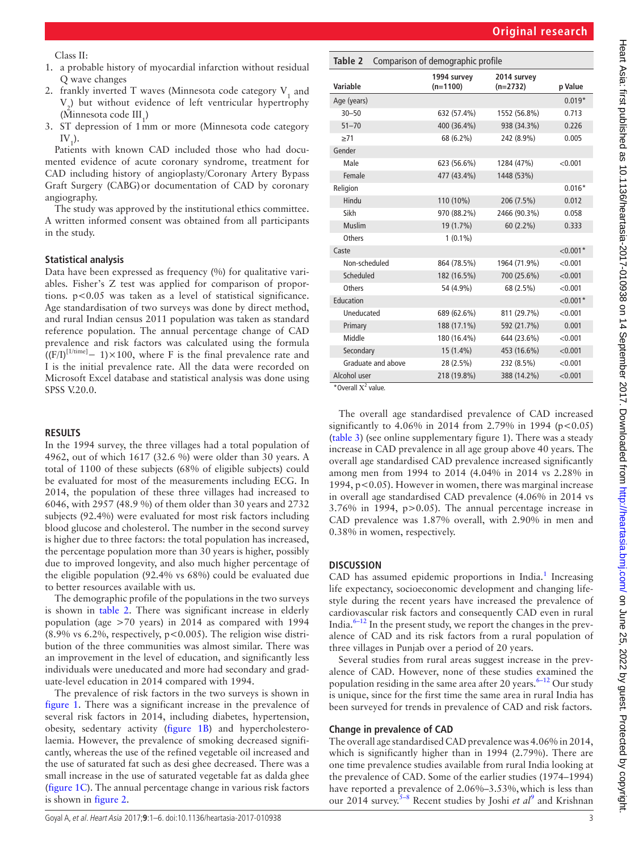Class II:

- 1. a probable history of myocardial infarction without residual Q wave changes
- 2. frankly inverted T waves (Minnesota code category  $V_1$  and  $V_2$ ) but without evidence of left ventricular hypertrophy (Minnesota code  $III_1$ )
- 3. ST depression of 1mm or more (Minnesota code category  $\mathrm{IV}_{1}$ ).

Patients with known CAD included those who had documented evidence of acute coronary syndrome, treatment for CAD including history of angioplasty/Coronary Artery Bypass Graft Surgery (CABG)or documentation of CAD by coronary angiography.

The study was approved by the institutional ethics committee. A written informed consent was obtained from all participants in the study.

#### **Statistical analysis**

Data have been expressed as frequency (%) for qualitative variables. Fisher's Z test was applied for comparison of proportions. p<0.05 was taken as a level of statistical significance. Age standardisation of two surveys was done by direct method, and rural Indian census 2011 population was taken as standard reference population. The annual percentage change of CAD prevalence and risk factors was calculated using the formula  $((F/I)^{[1/time]} - 1) \times 100$ , where F is the final prevalence rate and I is the initial prevalence rate. All the data were recorded on Microsoft Excel database and statistical analysis was done using SPSS V.20.0.

#### **Results**

In the 1994 survey, the three villages had a total population of 4962, out of which 1617 (32.6 %) were older than 30 years. A total of 1100 of these subjects (68% of eligible subjects) could be evaluated for most of the measurements including ECG. In 2014, the population of these three villages had increased to 6046, with 2957 (48.9 %) of them older than 30 years and 2732 subjects (92.4%) were evaluated for most risk factors including blood glucose and cholesterol. The number in the second survey is higher due to three factors: the total population has increased, the percentage population more than 30 years is higher, possibly due to improved longevity, and also much higher percentage of the eligible population (92.4% vs 68%) could be evaluated due to better resources available with us.

The demographic profile of the populations in the two surveys is shown in [table](#page-2-0) 2. There was significant increase in elderly population (age >70 years) in 2014 as compared with 1994 (8.9% vs 6.2%, respectively, p<0.005). The religion wise distribution of the three communities was almost similar. There was an improvement in the level of education, and significantly less individuals were uneducated and more had secondary and graduate-level education in 2014 compared with 1994.

The prevalence of risk factors in the two surveys is shown in [figure](#page-3-0) 1. There was a significant increase in the prevalence of several risk factors in 2014, including diabetes, hypertension, obesity, sedentary activity ([figure](#page-3-0) 1B) and hypercholesterolaemia. However, the prevalence of smoking decreased significantly, whereas the use of the refined vegetable oil increased and the use of saturated fat such as desi ghee decreased. There was a small increase in the use of saturated vegetable fat as dalda ghee [\(figure](#page-3-0) 1C). The annual percentage change in various risk factors is shown in [figure](#page-3-1) 2.

<span id="page-2-0"></span>

| Table 2 Comparison of demographic profile |
|-------------------------------------------|
|                                           |

| Variable                                | 1994 survey<br>$(n=1100)$ | 2014 survey<br>$(n=2732)$ | p Value     |
|-----------------------------------------|---------------------------|---------------------------|-------------|
| Age (years)                             |                           |                           | $0.019*$    |
| $30 - 50$                               | 632 (57.4%)               | 1552 (56.8%)              | 0.713       |
| $51 - 70$                               | 400 (36.4%)               | 938 (34.3%)               | 0.226       |
| $\geq 71$                               | 68 (6.2%)                 | 242 (8.9%)                | 0.005       |
| Gender                                  |                           |                           |             |
| Male                                    | 623 (56.6%)               | 1284 (47%)                | < 0.001     |
| Female                                  | 477 (43.4%)               | 1448 (53%)                |             |
| Religion                                |                           |                           | $0.016*$    |
| Hindu                                   | 110 (10%)                 | 206 (7.5%)                | 0.012       |
| Sikh                                    | 970 (88.2%)               | 2466 (90.3%)              | 0.058       |
| Muslim                                  | 19 (1.7%)                 | 60 (2.2%)                 | 0.333       |
| <b>Others</b>                           | $1(0.1\%)$                |                           |             |
| Caste                                   |                           |                           | ${<}0.001*$ |
| Non-scheduled                           | 864 (78.5%)               | 1964 (71.9%)              | < 0.001     |
| Scheduled                               | 182 (16.5%)               | 700 (25.6%)               | < 0.001     |
| Others                                  | 54 (4.9%)                 | 68 (2.5%)                 | < 0.001     |
| Education                               |                           |                           | $< 0.001*$  |
| Uneducated                              | 689 (62.6%)               | 811 (29.7%)               | < 0.001     |
| Primary                                 | 188 (17.1%)               | 592 (21.7%)               | 0.001       |
| Middle                                  | 180 (16.4%)               | 644 (23.6%)               | < 0.001     |
| Secondary                               | 15 (1.4%)                 | 453 (16.6%)               | < 0.001     |
| Graduate and above                      | 28 (2.5%)                 | 232 (8.5%)                | < 0.001     |
| Alcohol user<br>$+\alpha$ $11x^{2}$ $1$ | 218 (19.8%)               | 388 (14.2%)               | < 0.001     |

\* Overall  $X^2$  value.

The overall age standardised prevalence of CAD increased significantly to 4.06% in 2014 from 2.79% in 1994 ( $p < 0.05$ ) ([table](#page-4-0) 3) (see online [supplementary figure 1](https://dx.doi.org/10.1136/heartasia-2017-010938)). There was a steady increase in CAD prevalence in all age group above 40 years. The overall age standardised CAD prevalence increased significantly among men from 1994 to 2014 (4.04% in 2014 vs 2.28% in 1994, p<0.05). However in women, there was marginal increase in overall age standardised CAD prevalence (4.06% in 2014 vs 3.76% in 1994, p>0.05). The annual percentage increase in CAD prevalence was 1.87% overall, with 2.90% in men and 0.38% in women, respectively.

#### **Discussion**

CAD has assumed epidemic proportions in India.<sup>[1](#page-5-0)</sup> Increasing life expectancy, socioeconomic development and changing lifestyle during the recent years have increased the prevalence of cardiovascular risk factors and consequently CAD even in rural India. $6-12$  In the present study, we report the changes in the prevalence of CAD and its risk factors from a rural population of three villages in Punjab over a period of 20 years.

Several studies from rural areas suggest increase in the prevalence of CAD. However, none of these studies examined the population residing in the same area after 20 years. $6-12$  Our study is unique, since for the first time the same area in rural India has been surveyed for trends in prevalence of CAD and risk factors.

#### **Change in prevalence of CAD**

The overall age standardised CAD prevalence was 4.06% in 2014, which is significantly higher than in 1994 (2.79%). There are one time prevalence studies available from rural India looking at the prevalence of CAD. Some of the earlier studies (1974–1994) have reported a prevalence of 2.06%–3.53%, which is less than our 2014 survey.<sup>5–8</sup> Recent studies by Joshi *et al*<sup>[9](#page-5-15)</sup> and Krishnan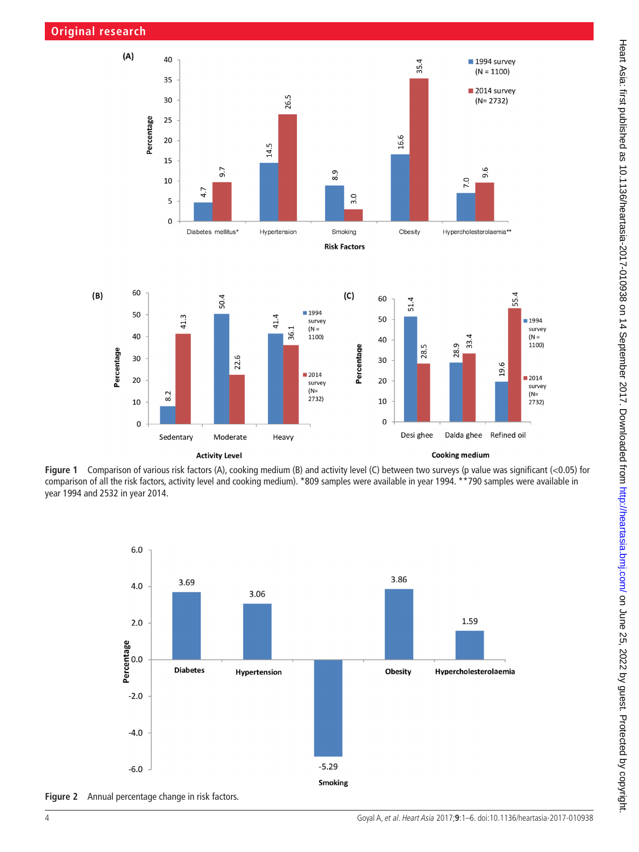

**Figure 1** Comparison of various risk factors (A), cooking medium (B) and activity level (C) between two surveys (p value was significant (<0.05) for comparison of all the risk factors, activity level and cooking medium). \*809 samples were available in year 1994. \*\*790 samples were available in year 1994 and 2532 in year 2014.

2014

 $(N=$ 

Heavy

survey

 $2732)$ 

20

10

 $\mathbf 0$ 

Desi ghee



<span id="page-3-1"></span>**Figure 2** Annual percentage change in risk factors.

20

10

 $\mathbf 0$ 

 $8.2$ 

<span id="page-3-0"></span>Sedentary

Moderate

**Activity Level** 

2014

 $(N=$ 

Refined oil

Dalda ghee

**Cooking medium** 

survey

2732)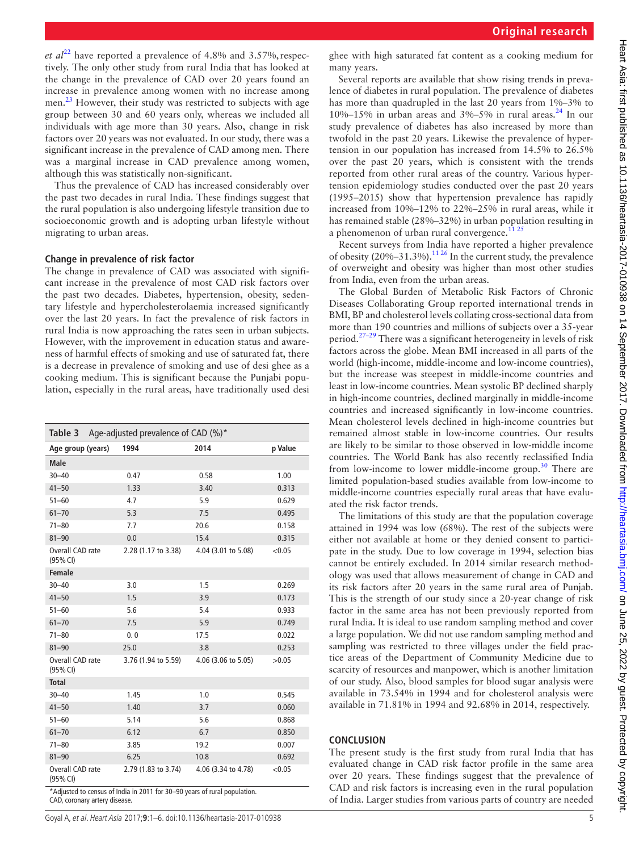*et al*<sup>[22](#page-5-16)</sup> have reported a prevalence of 4.8% and 3.57%, respectively. The only other study from rural India that has looked at the change in the prevalence of CAD over 20 years found an increase in prevalence among women with no increase among men.<sup>23</sup> However, their study was restricted to subjects with age group between 30 and 60 years only, whereas we included all individuals with age more than 30 years. Also, change in risk factors over 20 years was not evaluated. In our study, there was a significant increase in the prevalence of CAD among men. There was a marginal increase in CAD prevalence among women, although this was statistically non-significant.

Thus the prevalence of CAD has increased considerably over the past two decades in rural India. These findings suggest that the rural population is also undergoing lifestyle transition due to socioeconomic growth and is adopting urban lifestyle without migrating to urban areas.

#### **Change in prevalence of risk factor**

The change in prevalence of CAD was associated with significant increase in the prevalence of most CAD risk factors over the past two decades. Diabetes, hypertension, obesity, sedentary lifestyle and hypercholesterolaemia increased significantly over the last 20 years. In fact the prevalence of risk factors in rural India is now approaching the rates seen in urban subjects. However, with the improvement in education status and awareness of harmful effects of smoking and use of saturated fat, there is a decrease in prevalence of smoking and use of desi ghee as a cooking medium. This is significant because the Punjabi population, especially in the rural areas, have traditionally used desi

<span id="page-4-0"></span>

| Table 3                                                                   | Age-adjusted prevalence of CAD $(\%)^*$ |                     |                     |         |  |
|---------------------------------------------------------------------------|-----------------------------------------|---------------------|---------------------|---------|--|
| Age group (years)                                                         |                                         | 1994                | 2014                | p Value |  |
| <b>Male</b>                                                               |                                         |                     |                     |         |  |
| $30 - 40$                                                                 |                                         | 0.47                | 0.58                | 1.00    |  |
| $41 - 50$                                                                 |                                         | 1.33                | 3.40                | 0.313   |  |
| $51 - 60$                                                                 |                                         | 4.7                 | 5.9                 | 0.629   |  |
| $61 - 70$                                                                 |                                         | 5.3                 | 7.5                 | 0.495   |  |
| $71 - 80$                                                                 |                                         | 7.7                 | 20.6                | 0.158   |  |
| $81 - 90$                                                                 |                                         | 0.0                 | 15.4                | 0.315   |  |
| Overall CAD rate<br>(95% CI)                                              |                                         | 2.28 (1.17 to 3.38) | 4.04 (3.01 to 5.08) | < 0.05  |  |
| <b>Female</b>                                                             |                                         |                     |                     |         |  |
| $30 - 40$                                                                 |                                         | 3.0                 | 1.5                 | 0.269   |  |
| $41 - 50$                                                                 |                                         | 1.5                 | 3.9                 | 0.173   |  |
| $51 - 60$                                                                 |                                         | 5.6                 | 5.4                 | 0.933   |  |
| $61 - 70$                                                                 |                                         | 7.5                 | 5.9                 | 0.749   |  |
| $71 - 80$                                                                 |                                         | 0.0                 | 17.5                | 0.022   |  |
| $81 - 90$                                                                 |                                         | 25.0                | 3.8                 | 0.253   |  |
| Overall CAD rate<br>(95% CI)                                              |                                         | 3.76 (1.94 to 5.59) | 4.06 (3.06 to 5.05) | >0.05   |  |
| <b>Total</b>                                                              |                                         |                     |                     |         |  |
| $30 - 40$                                                                 |                                         | 1.45                | 1.0                 | 0.545   |  |
| $41 - 50$                                                                 |                                         | 1.40                | 3.7                 | 0.060   |  |
| $51 - 60$                                                                 |                                         | 5.14                | 5.6                 | 0.868   |  |
| $61 - 70$                                                                 |                                         | 6.12                | 6.7                 | 0.850   |  |
| $71 - 80$                                                                 |                                         | 3.85                | 19.2                | 0.007   |  |
| $81 - 90$                                                                 |                                         | 6.25                | 10.8                | 0.692   |  |
| Overall CAD rate<br>(95% CI)                                              |                                         | 2.79 (1.83 to 3.74) | 4.06 (3.34 to 4.78) | < 0.05  |  |
| *Adjusted to census of India in 2011 for 30-90 years of rural population. |                                         |                     |                     |         |  |

CAD, coronary artery disease.

ghee with high saturated fat content as a cooking medium for many years.

Several reports are available that show rising trends in prevalence of diabetes in rural population. The prevalence of diabetes has more than quadrupled in the last 20 years from 1%–3% to 10%–15% in urban areas and 3%–5% in rural areas.<sup>24</sup> In our study prevalence of diabetes has also increased by more than twofold in the past 20 years. Likewise the prevalence of hypertension in our population has increased from 14.5% to 26.5% over the past 20 years, which is consistent with the trends reported from other rural areas of the country. Various hypertension epidemiology studies conducted over the past 20 years (1995–2015) show that hypertension prevalence has rapidly increased from 10%–12% to 22%–25% in rural areas, while it has remained stable (28%–32%) in urban population resulting in a phenomenon of urban rural convergence.<sup>[11 25](#page-5-19)</sup>

Recent surveys from India have reported a higher prevalence of obesity  $(20\%-31.3\%)$ .<sup>1126</sup> In the current study, the prevalence of overweight and obesity was higher than most other studies from India, even from the urban areas.

The Global Burden of Metabolic Risk Factors of Chronic Diseases Collaborating Group reported international trends in BMI, BP and cholesterol levels collating cross-sectional data from more than 190 countries and millions of subjects over a 35-year period. $27-29$  There was a significant heterogeneity in levels of risk factors across the globe. Mean BMI increased in all parts of the world (high-income, middle-income and low-income countries), but the increase was steepest in middle-income countries and least in low-income countries. Mean systolic BP declined sharply in high-income countries, declined marginally in middle-income countries and increased significantly in low-income countries. Mean cholesterol levels declined in high-income countries but remained almost stable in low-income countries. Our results are likely to be similar to those observed in low-middle income countries. The World Bank has also recently reclassified India from low-income to lower middle-income group.<sup>30</sup> There are limited population-based studies available from low-income to middle-income countries especially rural areas that have evaluated the risk factor trends.

The limitations of this study are that the population coverage attained in 1994 was low (68%). The rest of the subjects were either not available at home or they denied consent to participate in the study. Due to low coverage in 1994, selection bias cannot be entirely excluded. In 2014 similar research methodology was used that allows measurement of change in CAD and its risk factors after 20 years in the same rural area of Punjab. This is the strength of our study since a 20-year change of risk factor in the same area has not been previously reported from rural India. It is ideal to use random sampling method and cover a large population. We did not use random sampling method and sampling was restricted to three villages under the field practice areas of the Department of Community Medicine due to scarcity of resources and manpower, which is another limitation of our study. Also, blood samples for blood sugar analysis were available in 73.54% in 1994 and for cholesterol analysis were available in 71.81% in 1994 and 92.68% in 2014, respectively.

#### **Conclusion**

The present study is the first study from rural India that has evaluated change in CAD risk factor profile in the same area over 20 years. These findings suggest that the prevalence of CAD and risk factors is increasing even in the rural population of India. Larger studies from various parts of country are needed